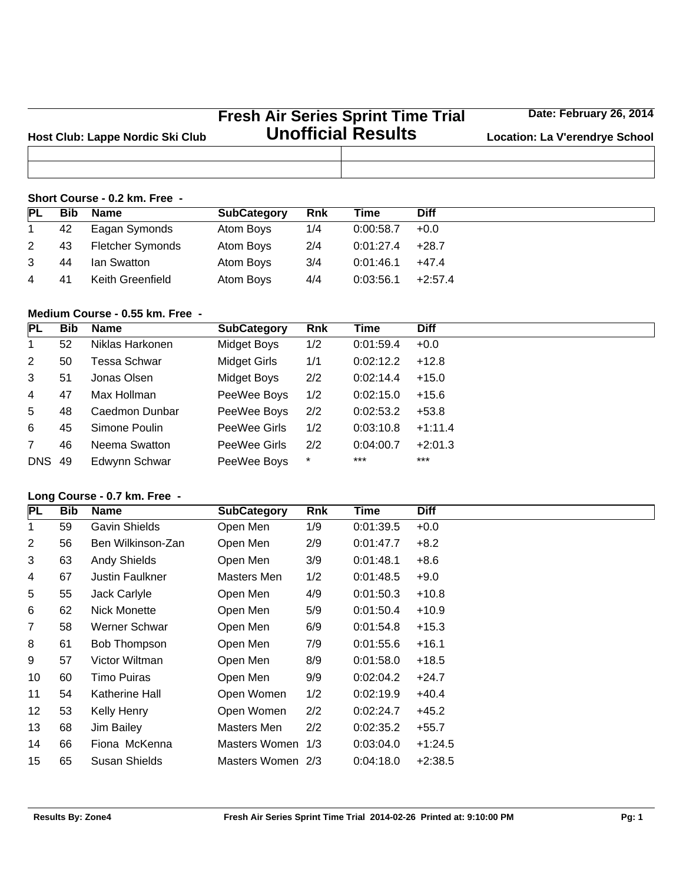|                                  | <b>Fresh Air Series Sprint Time Trial</b> | Date: February 26, 2014               |
|----------------------------------|-------------------------------------------|---------------------------------------|
| Host Club: Lappe Nordic Ski Club | <b>Unofficial Results</b>                 | <b>Location: La V'erendrye School</b> |
|                                  |                                           |                                       |
|                                  |                                           |                                       |

## **Short Course - 0.2 km. Free -**

| <b>PL</b> | <b>Bib</b> | <b>Name</b>             | <b>SubCategory</b> | <b>Rnk</b> | Time      | <b>Diff</b> |
|-----------|------------|-------------------------|--------------------|------------|-----------|-------------|
|           | 42         | Eagan Symonds           | Atom Boys          | 1/4        | 0:00:58.7 | $+0.0$      |
| 2         | 43         | <b>Fletcher Symonds</b> | Atom Boys          | 2/4        | 0:01:27.4 | $+28.7$     |
|           | 44         | lan Swatton             | Atom Boys          | 3/4        | 0:01:46.1 | $+47.4$     |
| 4         | 41         | Keith Greenfield        | Atom Boys          | 4/4        | 0:03:56.1 | $+2:57.4$   |

## **Medium Course - 0.55 km. Free -**

| <b>PL</b>     | <b>Bib</b> | Name            | <b>SubCategory</b>  | <b>Rnk</b> | Time      | <b>Diff</b> |
|---------------|------------|-----------------|---------------------|------------|-----------|-------------|
| 1             | 52         | Niklas Harkonen | Midget Boys         | 1/2        | 0:01:59.4 | $+0.0$      |
| 2             | 50         | Tessa Schwar    | <b>Midget Girls</b> | 1/1        | 0:02:12.2 | $+12.8$     |
| 3             | 51         | Jonas Olsen     | <b>Midget Boys</b>  | 2/2        | 0:02:14.4 | $+15.0$     |
| 4             | 47         | Max Hollman     | PeeWee Boys         | 1/2        | 0:02:15.0 | $+15.6$     |
| 5             | 48         | Caedmon Dunbar  | PeeWee Boys         | 2/2        | 0:02:53.2 | $+53.8$     |
| 6             | 45         | Simone Poulin   | PeeWee Girls        | 1/2        | 0:03:10.8 | $+1:11.4$   |
| 7             | 46         | Neema Swatton   | PeeWee Girls        | 2/2        | 0:04:00.7 | $+2:01.3$   |
| <b>DNS 49</b> |            | Edwynn Schwar   | PeeWee Boys         | $^\star$   | ***       | ***         |

## **Long Course - 0.7 km. Free -**

| <b>PL</b>      | <b>Bib</b> | <b>Name</b>          | <b>SubCategory</b> | Rnk | Time      | <b>Diff</b> |
|----------------|------------|----------------------|--------------------|-----|-----------|-------------|
| 1              | 59         | <b>Gavin Shields</b> | Open Men           | 1/9 | 0:01:39.5 | $+0.0$      |
| 2              | 56         | Ben Wilkinson-Zan    | Open Men           | 2/9 | 0:01:47.7 | $+8.2$      |
| 3              | 63         | <b>Andy Shields</b>  | Open Men           | 3/9 | 0:01:48.1 | $+8.6$      |
| 4              | 67         | Justin Faulkner      | Masters Men        | 1/2 | 0:01:48.5 | $+9.0$      |
| 5              | 55         | Jack Carlyle         | Open Men           | 4/9 | 0:01:50.3 | $+10.8$     |
| 6              | 62         | Nick Monette         | Open Men           | 5/9 | 0:01:50.4 | $+10.9$     |
| $\overline{7}$ | 58         | Werner Schwar        | Open Men           | 6/9 | 0:01:54.8 | $+15.3$     |
| 8              | 61         | Bob Thompson         | Open Men           | 7/9 | 0:01:55.6 | $+16.1$     |
| 9              | 57         | Victor Wiltman       | Open Men           | 8/9 | 0:01:58.0 | $+18.5$     |
| 10             | 60         | Timo Puiras          | Open Men           | 9/9 | 0:02:04.2 | $+24.7$     |
| 11             | 54         | Katherine Hall       | Open Women         | 1/2 | 0:02:19.9 | $+40.4$     |
| 12             | 53         | Kelly Henry          | Open Women         | 2/2 | 0:02:24.7 | $+45.2$     |
| 13             | 68         | Jim Bailey           | Masters Men        | 2/2 | 0:02:35.2 | $+55.7$     |
| 14             | 66         | Fiona McKenna        | Masters Women 1/3  |     | 0:03:04.0 | $+1:24.5$   |
| 15             | 65         | Susan Shields        | Masters Women 2/3  |     | 0.04:18.0 | $+2:38.5$   |